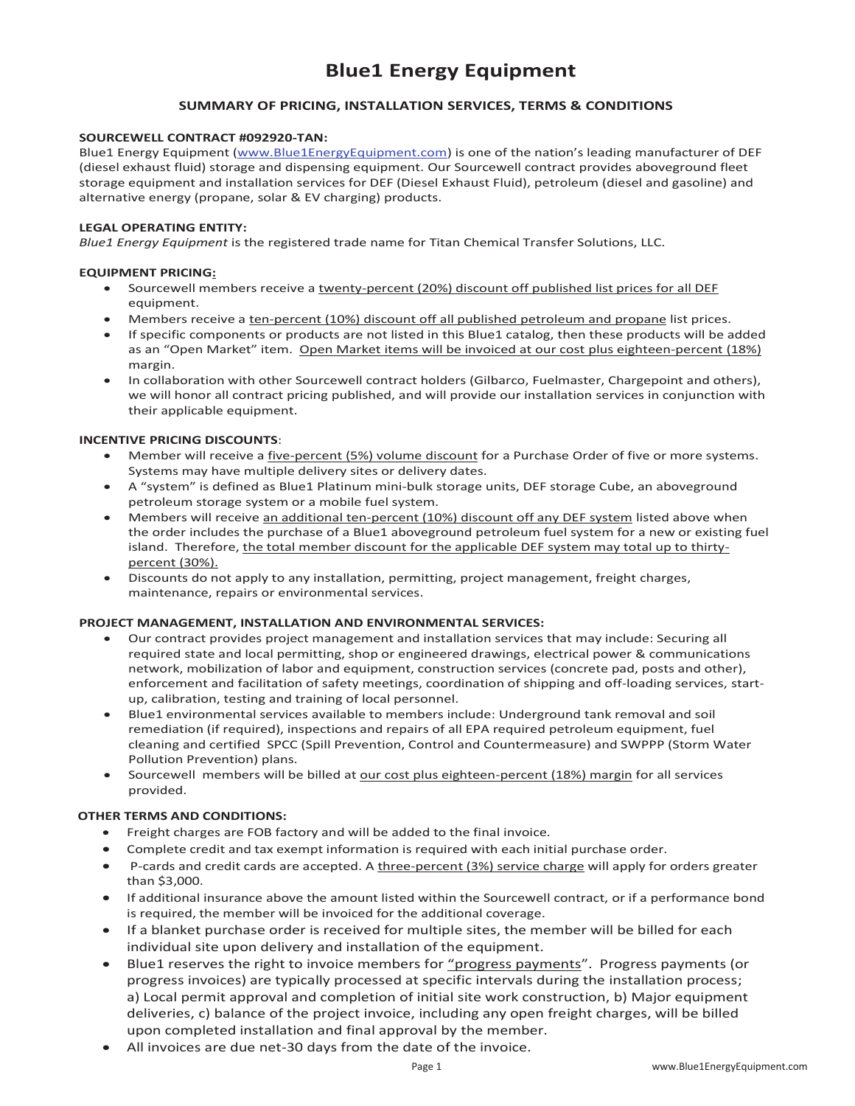# **Blue1 Energy Equipment**

# **SUMMARY OF PRICING, INSTALLATION SERVICES, TERMS & CONDITIONS**

## **SOURCEWELL CONTRACT #092920-TAN:**

Blue1 Energy Equipment (www.Blue1EnergyEquipment.com) is one of the nation's leading manufacturer of DEF (diesel exhaust fluid) storage and dispensing equipment. Our Sourcewell contract provides aboveground fleet storage equipment and installation services for DEF (Diesel Exhaust Fluid), petroleum (diesel and gasoline) and alternative energy (propane, solar & EV charging) products.

#### **LEGAL OPERATING ENTITY:**

*Blue1 Energy Equipment* is the registered trade name for Titan Chemical Transfer Solutions, LLC.

#### **EQUIPMENT PRICING:**

- Sourcewell members receive a twenty-percent (20%) discount off published list prices for all DEF equipment.
- Members receive a ten-percent (10%) discount off all published petroleum and propane list prices.
- If specific components or products are not listed in this Blue1 catalog, then these products will be added as an "Open Market" item. Open Market items will be invoiced at our cost plus eighteen-percent (18%) margin.
- In collaboration with other Sourcewell contract holders (Gilbarco, Fuelmaster, Chargepoint and others), we will honor all contract pricing published, and will provide our installation services in conjunction with their applicable equipment.

#### **INCENTIVE PRICING DISCOUNTS**:

- Member will receive a five-percent (5%) volume discount for a Purchase Order of five or more systems. Systems may have multiple delivery sites or delivery dates.
- A "system" is defined as Blue1 Platinum mini-bulk storage units, DEF storage Cube, an aboveground petroleum storage system or a mobile fuel system.
- Members will receive an additional ten-percent (10%) discount off any DEF system listed above when the order includes the purchase of a Blue1 aboveground petroleum fuel system for a new or existing fuel island. Therefore, the total member discount for the applicable DEF system may total up to thirtypercent (30%).
- Discounts do not apply to any installation, permitting, project management, freight charges, maintenance, repairs or environmental services.

## **PROJECT MANAGEMENT, INSTALLATION AND ENVIRONMENTAL SERVICES:**

- Our contract provides project management and installation services that may include: Securing all required state and local permitting, shop or engineered drawings, electrical power & communications network, mobilization of labor and equipment, construction services (concrete pad, posts and other), enforcement and facilitation of safety meetings, coordination of shipping and off-loading services, startup, calibration, testing and training of local personnel.
- Blue1 environmental services available to members include: Underground tank removal and soil remediation (if required), inspections and repairs of all EPA required petroleum equipment, fuel cleaning and certified SPCC (Spill Prevention, Control and Countermeasure) and SWPPP (Storm Water Pollution Prevention) plans.
- Sourcewell members will be billed at our cost plus eighteen-percent (18%) margin for all services provided.

## **OTHER TERMS AND CONDITIONS:**

- Freight charges are FOB factory and will be added to the final invoice.
- Complete credit and tax exempt information is required with each initial purchase order.
- P-cards and credit cards are accepted. A three-percent (3%) service charge will apply for orders greater than \$3,000.
- If additional insurance above the amount listed within the Sourcewell contract, or if a performance bond is required, the member will be invoiced for the additional coverage.
- If a blanket purchase order is received for multiple sites, the member will be billed for each individual site upon delivery and installation of the equipment.
- Blue1 reserves the right to invoice members for "progress payments". Progress payments (or progress invoices) are typically processed at specific intervals during the installation process; a) Local permit approval and completion of initial site work construction, b) Major equipment deliveries, c) balance of the project invoice, including any open freight charges, will be billed upon completed installation and final approval by the member.
- $\bullet$  All invoices are due net-30 days from the date of the invoice.